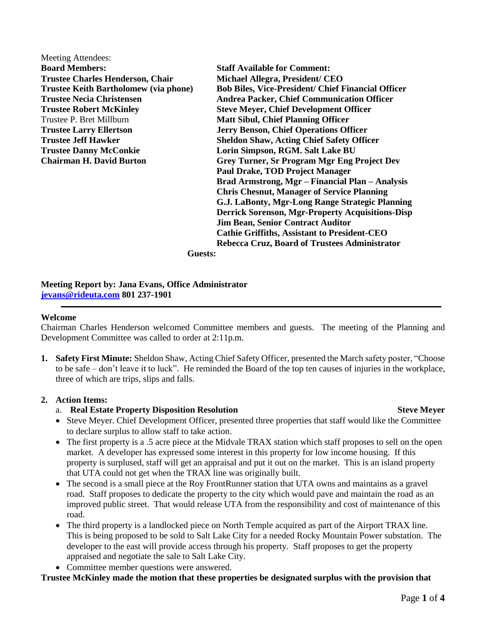Meeting Attendees: **Board Members: Staff Available for Comment: Trustee Charles Henderson, Chair Michael Allegra, President/ CEO**  Trustee P. Bret Millburn **Matt Sibul, Chief Planning Officer Trustee Danny McConkie Lorin Simpson, RGM. Salt Lake BU**

**Trustee Keith Bartholomew (via phone) Bob Biles, Vice-President/ Chief Financial Officer Trustee Necia Christensen Andrea Packer, Chief Communication Officer Trustee Robert McKinley Steve Meyer, Chief Development Officer Trustee Larry Ellertson Jerry Benson, Chief Operations Officer Trustee Jeff Hawker Sheldon Shaw, Acting Chief Safety Officer Chairman H. David Burton Grey Turner, Sr Program Mgr Eng Project Dev Paul Drake, TOD Project Manager Brad Armstrong, Mgr – Financial Plan – Analysis Chris Chesnut, Manager of Service Planning G.J. LaBonty, Mgr-Long Range Strategic Planning Derrick Sorenson, Mgr-Property Acquisitions-Disp Jim Bean, Senior Contract Auditor Cathie Griffiths, Assistant to President-CEO Rebecca Cruz, Board of Trustees Administrator**

**Guests:**

### **Meeting Report by: Jana Evans, Office Administrator [jevans@rideuta.com](mailto:jevans@rideuta.com) 801 237-1901**

### **Welcome**

Chairman Charles Henderson welcomed Committee members and guests. The meeting of the Planning and Development Committee was called to order at 2:11p.m.

**1. Safety First Minute:** Sheldon Shaw, Acting Chief Safety Officer, presented the March safety poster, "Choose to be safe – don't leave it to luck". He reminded the Board of the top ten causes of injuries in the workplace, three of which are trips, slips and falls.

## **2. Action Items:**

## a. **Real Estate Property Disposition Resolution Steve Meyer**

- Steve Meyer. Chief Development Officer, presented three properties that staff would like the Committee to declare surplus to allow staff to take action.
- The first property is a .5 acre piece at the Midvale TRAX station which staff proposes to sell on the open market. A developer has expressed some interest in this property for low income housing. If this property is surplused, staff will get an appraisal and put it out on the market. This is an island property that UTA could not get when the TRAX line was originally built.
- The second is a small piece at the Roy FrontRunner station that UTA owns and maintains as a gravel road. Staff proposes to dedicate the property to the city which would pave and maintain the road as an improved public street. That would release UTA from the responsibility and cost of maintenance of this road.
- The third property is a landlocked piece on North Temple acquired as part of the Airport TRAX line. This is being proposed to be sold to Salt Lake City for a needed Rocky Mountain Power substation. The developer to the east will provide access through his property. Staff proposes to get the property appraised and negotiate the sale to Salt Lake City.
- Committee member questions were answered.

## **Trustee McKinley made the motion that these properties be designated surplus with the provision that**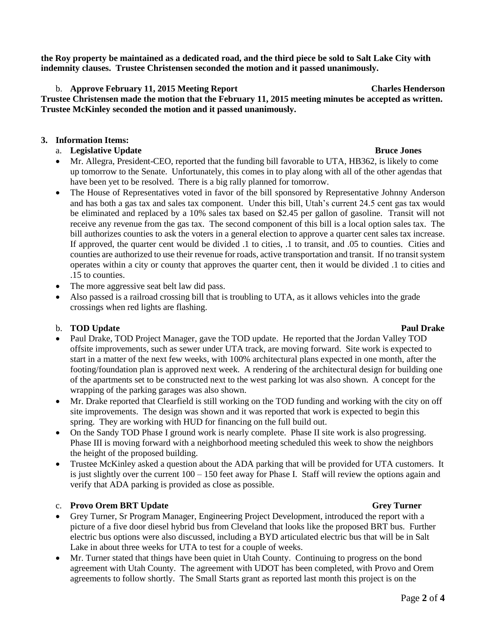**the Roy property be maintained as a dedicated road, and the third piece be sold to Salt Lake City with indemnity clauses. Trustee Christensen seconded the motion and it passed unanimously.** 

## b. **Approve February 11, 2015 Meeting Report Charles Henderson**

**Trustee Christensen made the motion that the February 11, 2015 meeting minutes be accepted as written. Trustee McKinley seconded the motion and it passed unanimously.**

## **3. Information Items:**

## a. **Legislative Update Bruce Jones**

- Mr. Allegra, President-CEO, reported that the funding bill favorable to UTA, HB362, is likely to come up tomorrow to the Senate. Unfortunately, this comes in to play along with all of the other agendas that have been yet to be resolved. There is a big rally planned for tomorrow.
- The House of Representatives voted in favor of the bill sponsored by Representative Johnny Anderson and has both a gas tax and sales tax component. Under this bill, Utah's current 24.5 cent gas tax would be eliminated and replaced by a 10% sales tax based on \$2.45 per gallon of gasoline. Transit will not receive any revenue from the gas tax. The second component of this bill is a local option sales tax. The bill authorizes counties to ask the voters in a general election to approve a quarter cent sales tax increase. If approved, the quarter cent would be divided .1 to cities, .1 to transit, and .05 to counties. Cities and counties are authorized to use their revenue for roads, active transportation and transit. If no transit system operates within a city or county that approves the quarter cent, then it would be divided .1 to cities and .15 to counties.
- The more aggressive seat belt law did pass.
- Also passed is a railroad crossing bill that is troubling to UTA, as it allows vehicles into the grade crossings when red lights are flashing.

# b. **TOD** Update **Paul Drake** Paul Drake

- Paul Drake, TOD Project Manager, gave the TOD update. He reported that the Jordan Valley TOD offsite improvements, such as sewer under UTA track, are moving forward. Site work is expected to start in a matter of the next few weeks, with 100% architectural plans expected in one month, after the footing/foundation plan is approved next week. A rendering of the architectural design for building one of the apartments set to be constructed next to the west parking lot was also shown. A concept for the wrapping of the parking garages was also shown.
- Mr. Drake reported that Clearfield is still working on the TOD funding and working with the city on off site improvements. The design was shown and it was reported that work is expected to begin this spring. They are working with HUD for financing on the full build out.
- On the Sandy TOD Phase I ground work is nearly complete. Phase II site work is also progressing. Phase III is moving forward with a neighborhood meeting scheduled this week to show the neighbors the height of the proposed building.
- Trustee McKinley asked a question about the ADA parking that will be provided for UTA customers. It is just slightly over the current 100 – 150 feet away for Phase I. Staff will review the options again and verify that ADA parking is provided as close as possible.

# c. **Provo Orem BRT Update** Grey Turner

- Grey Turner, Sr Program Manager, Engineering Project Development, introduced the report with a picture of a five door diesel hybrid bus from Cleveland that looks like the proposed BRT bus. Further electric bus options were also discussed, including a BYD articulated electric bus that will be in Salt Lake in about three weeks for UTA to test for a couple of weeks.
- Mr. Turner stated that things have been quiet in Utah County. Continuing to progress on the bond agreement with Utah County. The agreement with UDOT has been completed, with Provo and Orem agreements to follow shortly. The Small Starts grant as reported last month this project is on the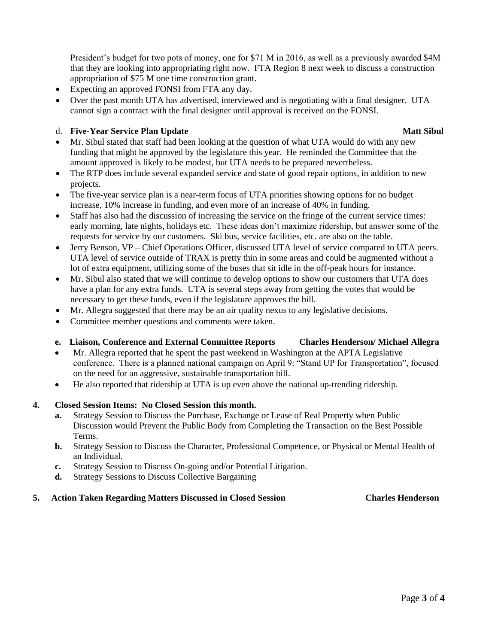President's budget for two pots of money, one for \$71 M in 2016, as well as a previously awarded \$4M that they are looking into appropriating right now. FTA Region 8 next week to discuss a construction appropriation of \$75 M one time construction grant.

- Expecting an approved FONSI from FTA any day.
- Over the past month UTA has advertised, interviewed and is negotiating with a final designer. UTA cannot sign a contract with the final designer until approval is received on the FONSI.

### d. **Five-Year Service Plan Update** Matt Sibul

- Mr. Sibul stated that staff had been looking at the question of what UTA would do with any new funding that might be approved by the legislature this year. He reminded the Committee that the amount approved is likely to be modest, but UTA needs to be prepared nevertheless.
- The RTP does include several expanded service and state of good repair options, in addition to new projects.
- The five-year service plan is a near-term focus of UTA priorities showing options for no budget increase, 10% increase in funding, and even more of an increase of 40% in funding.
- Staff has also had the discussion of increasing the service on the fringe of the current service times: early morning, late nights, holidays etc. These ideas don't maximize ridership, but answer some of the requests for service by our customers. Ski bus, service facilities, etc. are also on the table.
- Jerry Benson, VP Chief Operations Officer, discussed UTA level of service compared to UTA peers. UTA level of service outside of TRAX is pretty thin in some areas and could be augmented without a lot of extra equipment, utilizing some of the buses that sit idle in the off-peak hours for instance.
- Mr. Sibul also stated that we will continue to develop options to show our customers that UTA does have a plan for any extra funds. UTA is several steps away from getting the votes that would be necessary to get these funds, even if the legislature approves the bill.
- Mr. Allegra suggested that there may be an air quality nexus to any legislative decisions.
- Committee member questions and comments were taken.

## **e. Liaison, Conference and External Committee Reports Charles Henderson/ Michael Allegra**

- Mr. Allegra reported that he spent the past weekend in Washington at the APTA Legislative conference. There is a planned national campaign on April 9: "Stand UP for Transportation", focused on the need for an aggressive, sustainable transportation bill.
- He also reported that ridership at UTA is up even above the national up-trending ridership.

## **4. Closed Session Items: No Closed Session this month.**

- **a.** Strategy Session to Discuss the Purchase, Exchange or Lease of Real Property when Public Discussion would Prevent the Public Body from Completing the Transaction on the Best Possible Terms.
- **b.** Strategy Session to Discuss the Character, Professional Competence, or Physical or Mental Health of an Individual.
- **c.** Strategy Session to Discuss On-going and/or Potential Litigation.
- **d.** Strategy Sessions to Discuss Collective Bargaining

## **5. Action Taken Regarding Matters Discussed in Closed Session Charles Henderson**